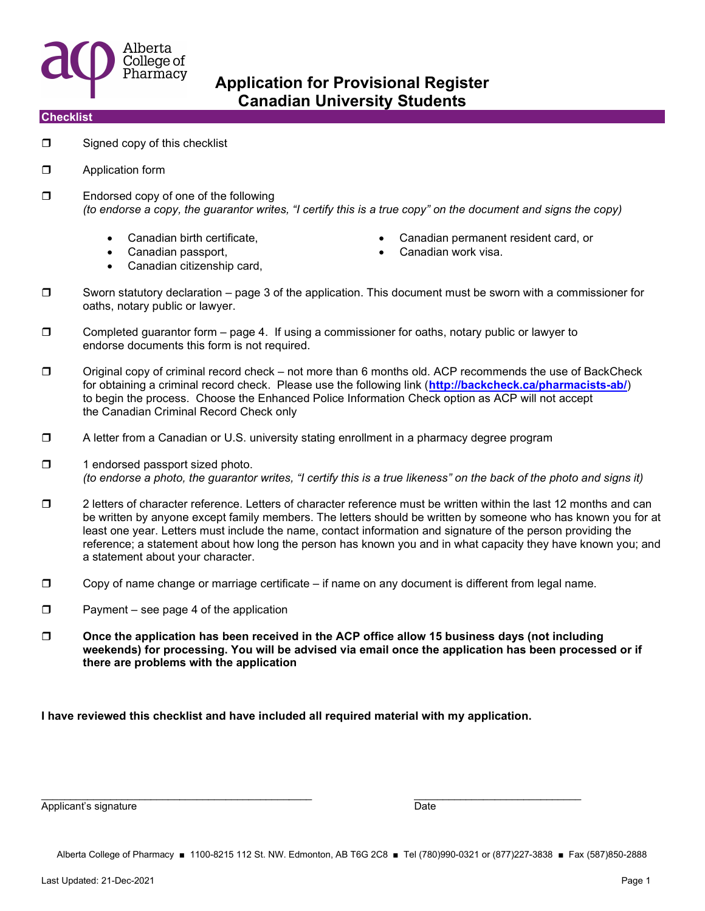

#### **Checklist**

- $\Box$  Signed copy of this checklist
- **D** Application form
- □ Endorsed copy of one of the following (to endorse a copy, the guarantor writes, "I certify this is a true copy" on the document and signs the copy)
	-
	-
	- Canadian citizenship card,
- Canadian birth certificate, Canadian permanent resident card, or
- Canadian passport, Canadian work visa.
- $\square$  Sworn statutory declaration page 3 of the application. This document must be sworn with a commissioner for oaths, notary public or lawyer.
- $\square$  Completed guarantor form page 4. If using a commissioner for oaths, notary public or lawyer to endorse documents this form is not required.
- $\Box$  Original copy of criminal record check not more than 6 months old. ACP recommends the use of BackCheck for obtaining a criminal record check. Please use the following link (http://backcheck.ca/pharmacists-ab/) to begin the process. Choose the Enhanced Police Information Check option as ACP will not accept the Canadian Criminal Record Check only
- A letter from a Canadian or U.S. university stating enrollment in a pharmacy degree program
- $\Box$  1 endorsed passport sized photo. (to endorse a photo, the guarantor writes, "I certify this is a true likeness" on the back of the photo and signs it)
- 2 letters of character reference. Letters of character reference must be written within the last 12 months and can be written by anyone except family members. The letters should be written by someone who has known you for at least one year. Letters must include the name, contact information and signature of the person providing the reference; a statement about how long the person has known you and in what capacity they have known you; and a statement about your character.
- $\Box$  Copy of name change or marriage certificate if name on any document is different from legal name.
- $\Box$  Payment see page 4 of the application
- $\square$  Once the application has been received in the ACP office allow 15 business days (not including weekends) for processing. You will be advised via email once the application has been processed or if there are problems with the application

I have reviewed this checklist and have included all required material with my application.

 $\overline{\phantom{a}}$  , and the contribution of the contribution of  $\overline{\phantom{a}}$  , and  $\overline{\phantom{a}}$  , and  $\overline{\phantom{a}}$  , and  $\overline{\phantom{a}}$ 

Applicant's signature Date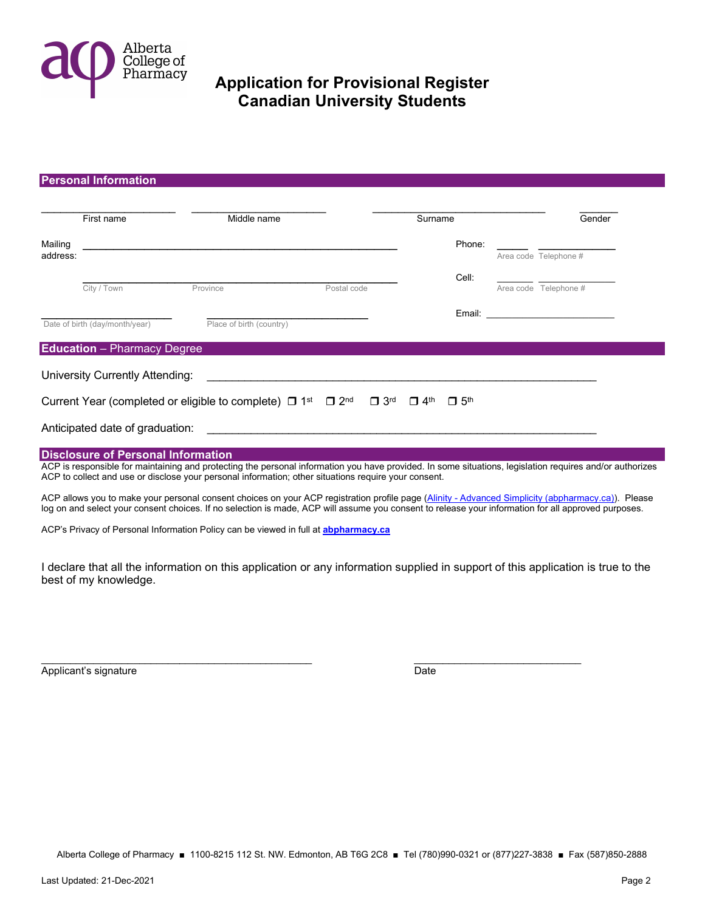

#### Personal Information

|          | First name                                | Middle name                                                                                                                                                                                                                                                      |                                                  | Surname                                          | Gender                                                                                                                                                                                                                        |
|----------|-------------------------------------------|------------------------------------------------------------------------------------------------------------------------------------------------------------------------------------------------------------------------------------------------------------------|--------------------------------------------------|--------------------------------------------------|-------------------------------------------------------------------------------------------------------------------------------------------------------------------------------------------------------------------------------|
| Mailing  |                                           |                                                                                                                                                                                                                                                                  |                                                  | Phone:                                           |                                                                                                                                                                                                                               |
| address: |                                           |                                                                                                                                                                                                                                                                  |                                                  |                                                  | Area code Telephone #                                                                                                                                                                                                         |
|          |                                           |                                                                                                                                                                                                                                                                  |                                                  | Cell:                                            |                                                                                                                                                                                                                               |
|          | City / Town                               | Province                                                                                                                                                                                                                                                         | Postal code                                      |                                                  | Area code Telephone #                                                                                                                                                                                                         |
|          |                                           |                                                                                                                                                                                                                                                                  |                                                  |                                                  | Email: Email: All and the second second second second second second second second second second second second second second second second second second second second second second second second second second second second |
|          | Date of birth (day/month/year)            | Place of birth (country)                                                                                                                                                                                                                                         |                                                  |                                                  |                                                                                                                                                                                                                               |
|          | <b>Education</b> - Pharmacy Degree        |                                                                                                                                                                                                                                                                  |                                                  |                                                  |                                                                                                                                                                                                                               |
|          | University Currently Attending:           |                                                                                                                                                                                                                                                                  |                                                  |                                                  |                                                                                                                                                                                                                               |
|          |                                           | Current Year (completed or eligible to complete) $\Box$ 1 <sup>st</sup>                                                                                                                                                                                          | $\Box$ 2 <sup>nd</sup><br>$\Box$ 3 <sup>rd</sup> | $\Box$ 4 <sup>th</sup><br>$\Box$ 5 <sup>th</sup> |                                                                                                                                                                                                                               |
|          | Anticipated date of graduation:           |                                                                                                                                                                                                                                                                  |                                                  |                                                  |                                                                                                                                                                                                                               |
|          | <b>Disclosure of Personal Information</b> |                                                                                                                                                                                                                                                                  |                                                  |                                                  |                                                                                                                                                                                                                               |
|          |                                           | ACP is responsible for maintaining and protecting the personal information you have provided. In some situations, legislation requires and/or authorizes<br>ACP to collect and use or disclose your personal information; other situations require your consent. |                                                  |                                                  |                                                                                                                                                                                                                               |

ACP allows you to make your personal consent choices on your ACP registration profile page (Alinity - Advanced Simplicity (abpharmacy.ca)). Please log on and select your consent choices. If no selection is made, ACP will assume you consent to release your information for all approved purposes.

ACP's Privacy of Personal Information Policy can be viewed in full at **abpharmacy.ca** 

I declare that all the information on this application or any information supplied in support of this application is true to the best of my knowledge.

Applicant's signature Date

 $\overline{\phantom{a}}$  , and the contribution of the contribution of  $\overline{\phantom{a}}$  , and  $\overline{\phantom{a}}$  , and  $\overline{\phantom{a}}$  , and  $\overline{\phantom{a}}$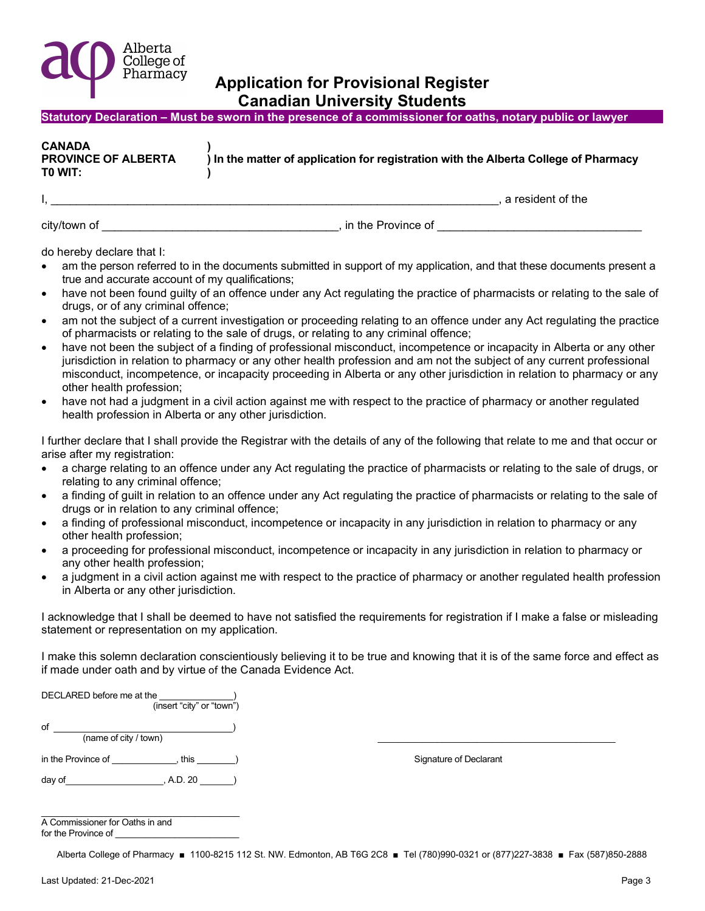

| Statutory Declaration – Must be sworn in the presence of a commissioner for oaths, notary public or lawyer |  |
|------------------------------------------------------------------------------------------------------------|--|
|------------------------------------------------------------------------------------------------------------|--|

| <b>CANADA</b><br><b>PROVINCE OF ALBERTA</b><br>) In the matter of application for registration with the Alberta College of Pharmacy<br>TO WIT: |  |
|------------------------------------------------------------------------------------------------------------------------------------------------|--|
|------------------------------------------------------------------------------------------------------------------------------------------------|--|

 $\mathcal{I}_1 = \{ \mathcal{I}_1, \mathcal{I}_2, \ldots, \mathcal{I}_n \}$  a resident of the

city/town of \_\_\_\_\_\_\_\_\_\_\_\_\_\_\_\_\_\_\_\_\_\_\_\_\_\_\_\_\_\_\_\_\_\_\_\_\_, in the Province of \_\_\_\_\_\_\_\_\_\_\_\_\_\_\_\_\_\_\_\_\_\_\_\_\_\_\_\_\_\_\_\_

do hereby declare that I:

- am the person referred to in the documents submitted in support of my application, and that these documents present a true and accurate account of my qualifications;
- have not been found quilty of an offence under any Act regulating the practice of pharmacists or relating to the sale of drugs, or of any criminal offence;
- am not the subject of a current investigation or proceeding relating to an offence under any Act regulating the practice of pharmacists or relating to the sale of drugs, or relating to any criminal offence;
- have not been the subject of a finding of professional misconduct, incompetence or incapacity in Alberta or any other jurisdiction in relation to pharmacy or any other health profession and am not the subject of any current professional misconduct, incompetence, or incapacity proceeding in Alberta or any other jurisdiction in relation to pharmacy or any other health profession;
- have not had a judgment in a civil action against me with respect to the practice of pharmacy or another regulated health profession in Alberta or any other jurisdiction.

I further declare that I shall provide the Registrar with the details of any of the following that relate to me and that occur or arise after my registration:

- a charge relating to an offence under any Act regulating the practice of pharmacists or relating to the sale of drugs, or relating to any criminal offence;
- a finding of guilt in relation to an offence under any Act regulating the practice of pharmacists or relating to the sale of drugs or in relation to any criminal offence;
- a finding of professional misconduct, incompetence or incapacity in any jurisdiction in relation to pharmacy or any other health profession;
- a proceeding for professional misconduct, incompetence or incapacity in any jurisdiction in relation to pharmacy or any other health profession;
- a judgment in a civil action against me with respect to the practice of pharmacy or another regulated health profession in Alberta or any other jurisdiction.

I acknowledge that I shall be deemed to have not satisfied the requirements for registration if I make a false or misleading statement or representation on my application.

I make this solemn declaration conscientiously believing it to be true and knowing that it is of the same force and effect as if made under oath and by virtue of the Canada Evidence Act.

| DECLARED before me at the<br>(insert "city" or "town") |                        |
|--------------------------------------------------------|------------------------|
| of<br>(name of city / town)                            |                        |
| in the Province of<br>this                             | Signature of Declarant |
| day of<br>, A.D. 20                                    |                        |

| A Commissioner for Oaths in and |
|---------------------------------|
| for the Province of             |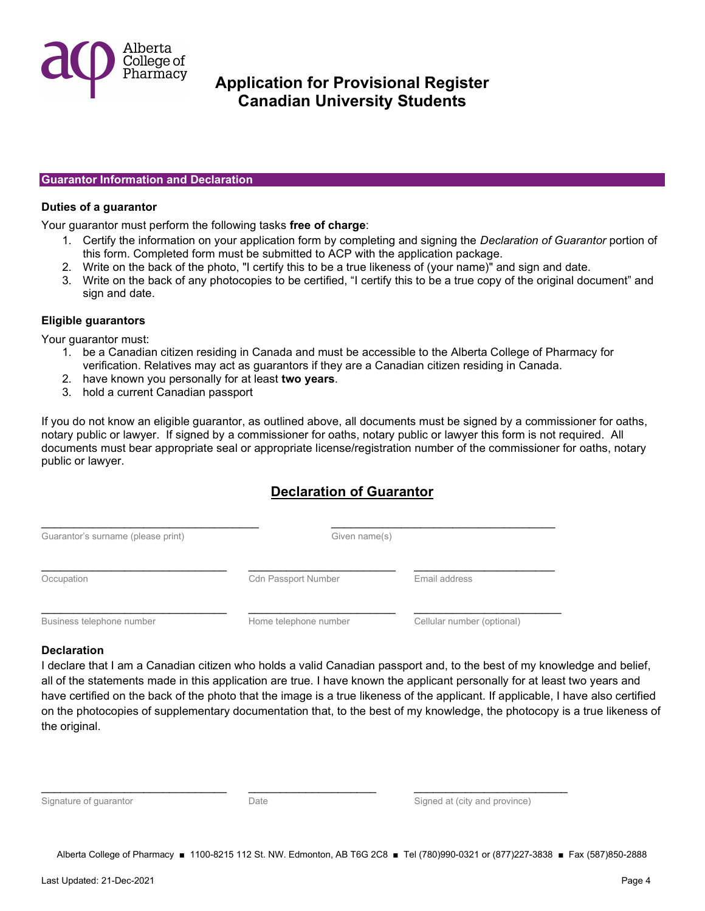

#### Guarantor Information and Declaration

#### Duties of a guarantor

Your guarantor must perform the following tasks free of charge:

- 1. Certify the information on your application form by completing and signing the Declaration of Guarantor portion of this form. Completed form must be submitted to ACP with the application package.
- 2. Write on the back of the photo, "I certify this to be a true likeness of (your name)" and sign and date.
- 3. Write on the back of any photocopies to be certified, "I certify this to be a true copy of the original document" and sign and date.

#### Eligible guarantors

Your guarantor must:

- 1. be a Canadian citizen residing in Canada and must be accessible to the Alberta College of Pharmacy for verification. Relatives may act as guarantors if they are a Canadian citizen residing in Canada.
- 2. have known you personally for at least two years.
- 3. hold a current Canadian passport

If you do not know an eligible guarantor, as outlined above, all documents must be signed by a commissioner for oaths, notary public or lawyer. If signed by a commissioner for oaths, notary public or lawyer this form is not required. All documents must bear appropriate seal or appropriate license/registration number of the commissioner for oaths, notary public or lawyer.

### Declaration of Guarantor

| <b>Cdn Passport Number</b> | Email address |               |
|----------------------------|---------------|---------------|
|                            |               | Given name(s) |

Business telephone number **Home telephone number** Cellular number (optional)

### **Declaration**

I declare that I am a Canadian citizen who holds a valid Canadian passport and, to the best of my knowledge and belief, all of the statements made in this application are true. I have known the applicant personally for at least two years and have certified on the back of the photo that the image is a true likeness of the applicant. If applicable, I have also certified on the photocopies of supplementary documentation that, to the best of my knowledge, the photocopy is a true likeness of the original.

|  |  | Signature of guarantor |  |
|--|--|------------------------|--|

Date **Date** Signed at (city and province)